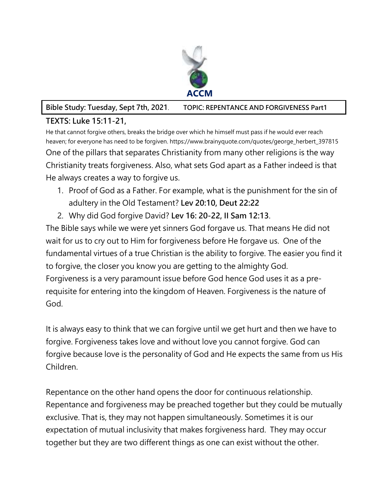

**Bible Study: Tuesday, Sept 7th, 2021**. **TOPIC: REPENTANCE AND FORGIVENESS Part1**

## **TEXTS: Luke 15:11-21,**

He that cannot forgive others, breaks the bridge over which he himself must pass if he would ever reach heaven; for everyone has need to be forgiven. https://www.brainyquote.com/quotes/george\_herbert\_397815 One of the pillars that separates Christianity from many other religions is the way Christianity treats forgiveness. Also, what sets God apart as a Father indeed is that He always creates a way to forgive us.

- 1. Proof of God as a Father. For example, what is the punishment for the sin of adultery in the Old Testament? **Lev 20:10, Deut 22:22**
- 2. Why did God forgive David? **Lev 16: 20-22, II Sam 12:13**.

The Bible says while we were yet sinners God forgave us. That means He did not wait for us to cry out to Him for forgiveness before He forgave us. One of the fundamental virtues of a true Christian is the ability to forgive. The easier you find it to forgive, the closer you know you are getting to the almighty God. Forgiveness is a very paramount issue before God hence God uses it as a prerequisite for entering into the kingdom of Heaven. Forgiveness is the nature of God.

It is always easy to think that we can forgive until we get hurt and then we have to forgive. Forgiveness takes love and without love you cannot forgive. God can forgive because love is the personality of God and He expects the same from us His Children.

Repentance on the other hand opens the door for continuous relationship. Repentance and forgiveness may be preached together but they could be mutually exclusive. That is, they may not happen simultaneously. Sometimes it is our expectation of mutual inclusivity that makes forgiveness hard. They may occur together but they are two different things as one can exist without the other.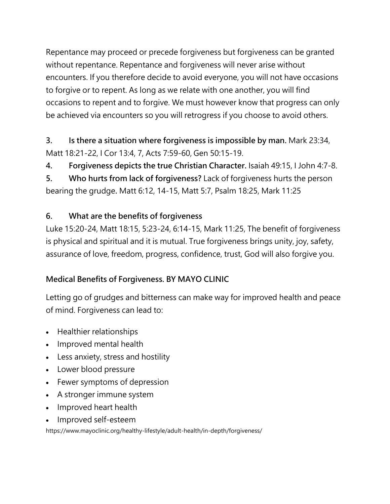Repentance may proceed or precede forgiveness but forgiveness can be granted without repentance. Repentance and forgiveness will never arise without encounters. If you therefore decide to avoid everyone, you will not have occasions to forgive or to repent. As long as we relate with one another, you will find occasions to repent and to forgive. We must however know that progress can only be achieved via encounters so you will retrogress if you choose to avoid others.

**3. Is there a situation where forgiveness is impossible by man.** Mark 23:34, Matt 18:21-22, I Cor 13:4, 7, Acts 7:59-60, Gen 50:15-19.

**4. Forgiveness depicts the true Christian Character.** Isaiah 49:15, I John 4:7-8.

**5. Who hurts from lack of forgiveness?** Lack of forgiveness hurts the person bearing the grudge**.** Matt 6:12, 14-15, Matt 5:7, Psalm 18:25, Mark 11:25

## **6. What are the benefits of forgiveness**

Luke 15:20-24, Matt 18:15, 5:23-24, 6:14-15, Mark 11:25, The benefit of forgiveness is physical and spiritual and it is mutual. True forgiveness brings unity, joy, safety, assurance of love, freedom, progress, confidence, trust, God will also forgive you.

## **Medical Benefits of Forgiveness. BY MAYO CLINIC**

Letting go of grudges and bitterness can make way for improved health and peace of mind. Forgiveness can lead to:

- Healthier relationships
- Improved mental health
- Less anxiety, stress and hostility
- Lower blood pressure
- Fewer symptoms of depression
- A stronger immune system
- Improved heart health
- Improved self-esteem

https://www.mayoclinic.org/healthy-lifestyle/adult-health/in-depth/forgiveness/